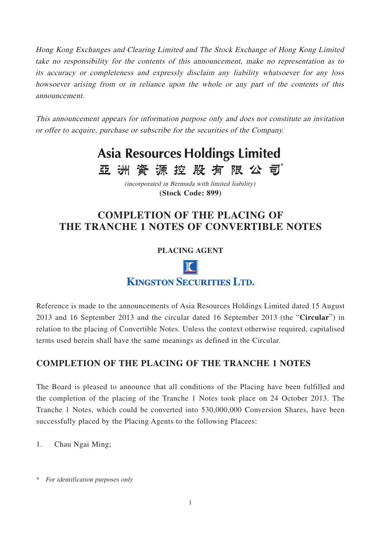Hong Kong Exchanges and Clearing Limited and The Stock Exchange of Hong Kong Limited take no responsibility for the contents of this announcement, make no representation as to its accuracy or completeness and expressly disclaim any liability whatsoever for any loss howsoever arising from or in reliance upon the whole or any part of the contents of this announcement.

This announcement appears for information purpose only and does not constitute an invitation or offer to acquire, purchase or subscribe for the securities of the Company.



(incorporated in Bermuda with limited liability) **(Stock Code: 899)**

## **COMPLETION OF THE PLACING OF THE TRANCHE 1 NOTES OF CONVERTIBLE NOTES**

**PLACING AGENT**

**III** O **KINGSTON SECURITIES LTD.** 

Reference is made to the announcements of Asia Resources Holdings Limited dated 15 August 2013 and 16 September 2013 and the circular dated 16 September 2013 (the "**Circular**") in relation to the placing of Convertible Notes. Unless the context otherwise required, capitalised terms used herein shall have the same meanings as defined in the Circular.

## **COMPLETION OF THE PLACING OF THE TRANCHE 1 NOTES**

The Board is pleased to announce that all conditions of the Placing have been fulfilled and the completion of the placing of the Tranche 1 Notes took place on 24 October 2013. The Tranche 1 Notes, which could be converted into 530,000,000 Conversion Shares, have been successfully placed by the Placing Agents to the following Placees:

1. Chau Ngai Ming;

<sup>\*</sup> For identification purposes only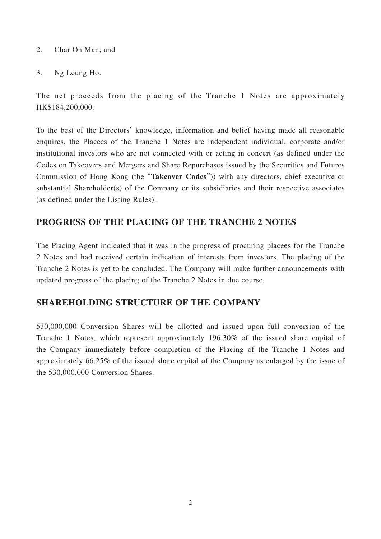- 2. Char On Man; and
- 3. Ng Leung Ho.

The net proceeds from the placing of the Tranche 1 Notes are approximately HK\$184,200,000.

To the best of the Directors' knowledge, information and belief having made all reasonable enquires, the Placees of the Tranche 1 Notes are independent individual, corporate and/or institutional investors who are not connected with or acting in concert (as defined under the Codes on Takeovers and Mergers and Share Repurchases issued by the Securities and Futures Commission of Hong Kong (the "**Takeover Codes**")) with any directors, chief executive or substantial Shareholder(s) of the Company or its subsidiaries and their respective associates (as defined under the Listing Rules).

## **PROGRESS OF THE PLACING OF THE TRANCHE 2 NOTES**

The Placing Agent indicated that it was in the progress of procuring placees for the Tranche 2 Notes and had received certain indication of interests from investors. The placing of the Tranche 2 Notes is yet to be concluded. The Company will make further announcements with updated progress of the placing of the Tranche 2 Notes in due course.

## **SHAREHOLDING STRUCTURE OF THE COMPANY**

530,000,000 Conversion Shares will be allotted and issued upon full conversion of the Tranche 1 Notes, which represent approximately 196.30% of the issued share capital of the Company immediately before completion of the Placing of the Tranche 1 Notes and approximately 66.25% of the issued share capital of the Company as enlarged by the issue of the 530,000,000 Conversion Shares.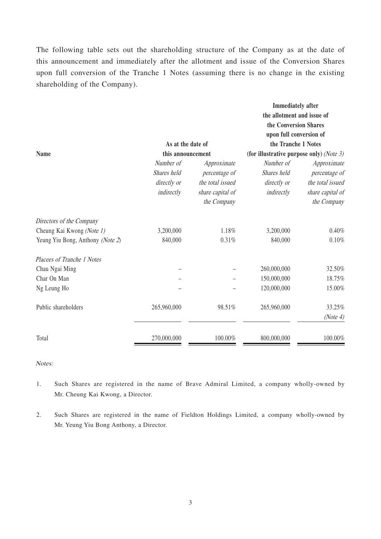The following table sets out the shareholding structure of the Company as at the date of this announcement and immediately after the allotment and issue of the Conversion Shares upon full conversion of the Tranche 1 Notes (assuming there is no change in the existing shareholding of the Company).

|                                  |                   |                  | <b>Immediately</b> after<br>the allotment and issue of<br>the Conversion Shares<br>upon full conversion of |                  |
|----------------------------------|-------------------|------------------|------------------------------------------------------------------------------------------------------------|------------------|
|                                  | As at the date of |                  | the Tranche 1 Notes                                                                                        |                  |
| <b>Name</b>                      | this announcement |                  | (for illustrative purpose only) (Note 3)                                                                   |                  |
|                                  | Number of         | Approximate      | Number of                                                                                                  | Approximate      |
|                                  | Shares held       | percentage of    | Shares held                                                                                                | percentage of    |
|                                  | directly or       | the total issued | directly or                                                                                                | the total issued |
|                                  | indirectly        | share capital of | indirectly                                                                                                 | share capital of |
|                                  |                   | the Company      |                                                                                                            | the Company      |
| Directors of the Company         |                   |                  |                                                                                                            |                  |
| Cheung Kai Kwong (Note 1)        | 3,200,000         | 1.18%            | 3,200,000                                                                                                  | 0.40%            |
| Yeung Yiu Bong, Anthony (Note 2) | 840,000           | 0.31%            | 840,000                                                                                                    | 0.10%            |
| Placees of Tranche 1 Notes       |                   |                  |                                                                                                            |                  |
| Chau Ngai Ming                   |                   |                  | 260,000,000                                                                                                | 32.50%           |
| Char On Man                      |                   |                  | 150,000,000                                                                                                | 18.75%           |
| Ng Leung Ho                      |                   |                  | 120,000,000                                                                                                | 15.00%           |
| Public shareholders              | 265,960,000       | 98.51%           | 265,960,000                                                                                                | 33.25%           |
|                                  |                   |                  |                                                                                                            | (Note 4)         |
| Total                            | 270,000,000       | 100.00%          | 800,000,000                                                                                                | 100.00%          |

Notes:

- 1. Such Shares are registered in the name of Brave Admiral Limited, a company wholly-owned by Mr. Cheung Kai Kwong, a Director.
- 2. Such Shares are registered in the name of Fieldton Holdings Limited, a company wholly-owned by Mr. Yeung Yiu Bong Anthony, a Director.